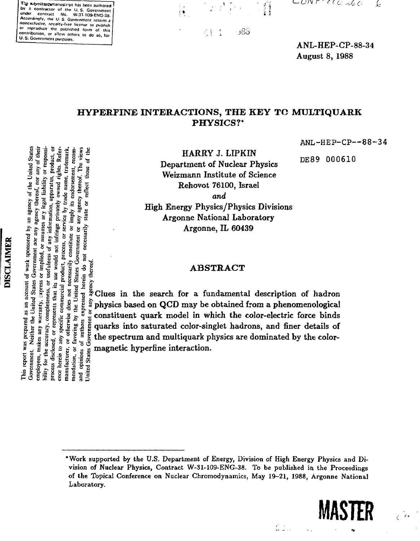The submitted manuscript has been authored by a contractor of the U.S. Government under contract No. W-31-109-ENG-38.<br>Accordingly, the U.S. Government retains a nonexclusive, royalty-free license to publish eproduce the published form of this contribution, or allow others to do so for U. S. Government purposes.

;• "3 M o «> ~



j 8 b ήŊ.

 $\mathcal{L}$ UN FT ECO-260 Ŀ

ANL-HEP-CP-88-34 August 8, 1988

# **HYPERFINE INTERACTIONS, THE KEY TO MULTIQUARK PHYSICS?\***

ANL-HEP-CP—88-34

DE89 000610

HARRY J. LIPKIN Department of Nuclear Physics Weizmann Institute of Science Rehovot 76100, Israel *and* High Energy Physics/Physics Divisions

Argonne National Laboratory Argonne, IL 60439

## ABSTRACT

 $\frac{1}{2}$   $\frac{1}{2}$   $\frac{1}{2}$   $\frac{1}{2}$   $\frac{1}{3}$  Clues in the search for a fundamental description of hadron  $\frac{1}{2}$   $\frac{2}{5}$   $\frac{3}{2}$   $\frac{1}{2}$   $\frac{2}{5}$   $\frac{2}{5}$  physics based on QCD may be obtained from a phenomenological For a strained in which the color-electric force binds in the search of a fundamental description of hadron and the color-electric force binds of the search of the color-electric force binds of the search of the color-ele  $\frac{1}{5}$   $\frac{1}{5}$   $\frac{1}{5}$  quarks into saturated color-singlet hadrons, and finer details of  $\frac{1}{5}$   $\frac{1}{5}$  the spectrum and multiquark physics are dominated by the colorthe spectrum and multiquark physics are dominated by the color-

<sup>\*</sup>Work supported by the U.S. Department of Energy, Division of High Energy Physics and Division of Nuclear Physics, Contract W-31-109-ENG-38. To be published in the Proceedings of the Topical Conference on Nuclear Chromodynamics, May 19-21, 1988, Argonne National Laboratory.



 $\mathcal{L} \subset \mathcal{L}$ 

 $\hat{\epsilon}$ 

# **DISCLAIMER**

**•s § S S, g** bility for the accuracy, completeness, or usefulness of any information, apparatus, by of the<br>
hereof, no<br>
gal liabilit<br>
apparatu<br>
apparatured<br>
radorse<br>
s endorse<br>
s endorse<br>
s endorse Aryon and the state of the state of the state of the state of the state of the state of the state of the state of the state of the state of the state of the state of the state of the state of the state of the state of the  $\overline{\textbf{e}}$ herein do not its use would thereof. **as =** ere<br>Pressure<br>Pressure គ្គ<br>ក្តី :<br>ក្តី : *•s* >, S •= \*5 *S* °"S  $5 = 2.8$   $2 = 2.5$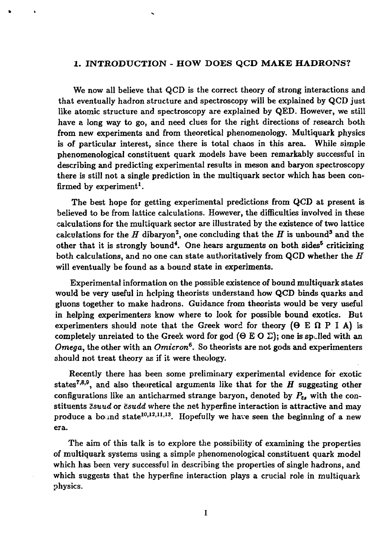# **1. INTRODUCTION - HOW DOES QCD MAKE HADRONS?**

We now all believe that QCD is the correct theory of strong interactions and that eventually hadron structure and spectroscopy will be explained by QCD just like atomic structure and spectroscopy are explained by QED. However, we still have a long way to go, and need clues for the right directions of research both from new experiments and from theoretical phenomenology. Multiquark physics is of particular interest, since there is total chaos in this area. While simple phenomenological constituent quark models have been remarkably successful in describing and predicting experimental results in meson and baryon spectroscopy there is still not a single prediction in the multiquark sector which has been confirmed by experiment<sup>1</sup>.

The best hope for getting experimental predictions from QCD at present is believed to be from lattice calculations. However, the difficulties involved in these calculations for the multiquark sector are illustrated by the existence of two lattice calculations for the  $H$  dibaryon<sup>2</sup>, one concluding that the  $H$  is unbound<sup>3</sup> and the other that it is strongly bound<sup>4</sup>. One hears arguments on both sides<sup>5</sup> criticizing both calculations, and no one can state authoritatively from QCD whether the *H* will eventually be found as a bound state in experiments.

Experimental information on the possible existence of bound multiquark states would be very useful in helping theorists understand how QCD binds quarks and gluons together to make hadrons. Guidance from theorists would be very useful in helping experimenters know where to look for possible bound exotics. But experimenters should note that the Greek word for theory ( $\Theta \to \Omega$  P I A) is completely unrelated to the Greek word for god ( $\Theta \to \Theta \Sigma$ ); one is sp lled with an *Omega,* the other with an *Omicron<sup>6</sup> .* So theorists are not gods and experimenters should not treat theory as if it were theology.

Recently there has been some preliminary experimental evidence for exotic states<sup>7,8,9</sup>, and also theoretical arguments like that for the  $H$  suggesting other configurations like an anticharmed strange baryon, denoted by  $P_{\alpha}$ , with the constituents *Zsuud* or *csudd* where the net hyperfine interaction is attractive and may produce a bound state<sup>10,12,11,13</sup>. Hopefully we have seen the beginning of a new era.

The aim of this talk is to explore the possibility of examining the properties of multiquark systems using a simple phenomenological constituent quark model which has been very successful in describing the properties of single hadrons, and which suggests that the hyperfine interaction plays a crucial role in multiquark physics.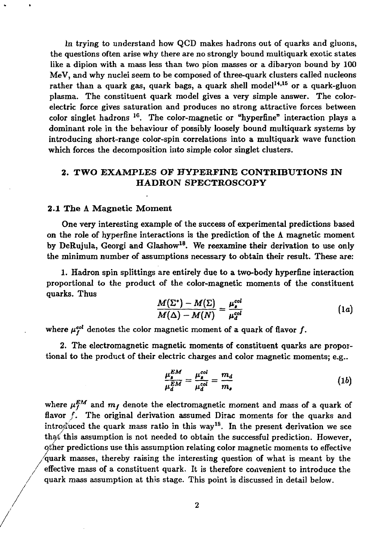In trying to understand how QCD makes hadrons out of quarks and gluons, the questions often arise why there are no strongly bound multiquark exotic states like a dipion with a mass less than two pion masses or a dibaryon bound by 100 MeV, and why nuclei seem to be composed of three-quark clusters called nucleons rather than a quark gas, quark bags, a quark shell model<sup>14,15</sup> or a quark-gluon plasma. The constituent quark model gives a very simple answer. The colorelectric force gives saturation and produces no strong attractive forces between color singlet hadrons <sup>16</sup>. The color-magnetic or "hyperfine" interaction plays a dominant role in the behaviour of possibly loosely bound multiquark systems by introducing short-range color-spin correlations into a multiquark wave function which forces the decomposition into simple color singlet clusters.

# **2. TWO EXAMPLES OF HYPERFINE CONTRIBUTIONS IN HADRON SPECTROSCOPY**

#### **2.1 The** A Magnetic Moment

One very interesting example of the success of experimental predictions based on the role of hyperfine interactions is the prediction of the  $\Lambda$  magnetic moment by DeRujula, Georgi and Glashow<sup>18</sup>. We reexamine their derivation to use only the minimum number of assumptions necessary to obtain their result. These are:

1. Hadron spin splittings are entirely due to a two-body hyperfine interaction proportional to the product of the color-magnetic moments of the constituent quarks. Thus

$$
\frac{M(\Sigma^*) - M(\Sigma)}{M(\Delta) - M(N)} = \frac{\mu_o^{col}}{\mu_d^{col}} \tag{1a}
$$

where  $\mu_f^{col}$  denotes the color magnetic moment of a quark of flavor  $f$ .

2. The electromagnetic magnetic moments of constituent quarks are proportional to the product of their electric charges and color magnetic moments; e.g..

$$
\frac{\mu_s^{EM}}{\mu_d^{EM}} = \frac{\mu_s^{col}}{\mu_d^{col}} = \frac{m_d}{m_s} \tag{1b}
$$

where  $\mu_{f}^{EM}$  and  $m_{f}$  denote the electromagnetic moment and mass of a quark of flavor  $f$ . The original derivation assumed Dirac moments for the quarks and intro $\widetilde{g}$ uced the quark mass ratio in this way<sup>18</sup>. In the present derivation we sce that' this assumption is not needed to obtain the successful prediction. However, other predictions use this assumption relating color magnetic moments to effective -'quark masses, thereby raising the interesting question of what is meant by the effective mass of a constituent quark. It is therefore convenient to introduce the quark mass assumption at this stage. This point is discussed in detail below.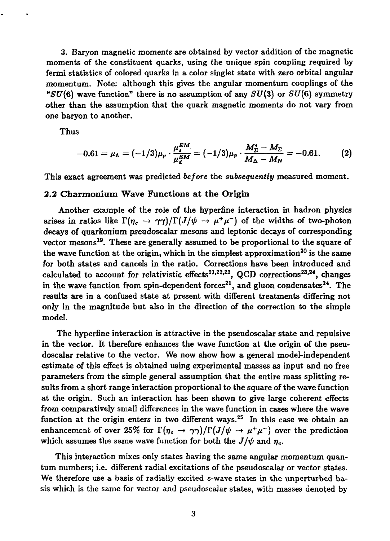3. Baryon magnetic moments are obtained by vector addition of the magnetic moments of the constituent quarks, using the unique spin coupling required by fermi statistics of colored quarks in a color singlet state with zero orbital angular momentum. Note: although this gives the angular momentum couplings of the " $SU(6)$  wave function" there is no assumption of any  $SU(3)$  or  $SU(6)$  symmetry other than the assumption that the quark magnetic moments do not vary from one baryon to another.

Thus

$$
-0.61 = \mu_{\Lambda} = (-1/3)\mu_{p} \cdot \frac{\mu_{s}^{EM}}{\mu_{d}^{EM}} = (-1/3)\mu_{p} \cdot \frac{M_{\Sigma}^{*} - M_{\Sigma}}{M_{\Delta} - M_{N}} = -0.61. \tag{2}
$$

This exact agreement was predicted *before* the *subsequently* measured moment.

### 2.2 Charmonium Wave Functions at the Origin

Another example of the role of the hyperfine interaction in hadron physics arises in ratios like  $\Gamma(\eta_c \to \gamma\gamma)/\Gamma(J/\psi \to \mu^+\mu^-)$  of the widths of two-photon decays of quarkonium pseudoscalar mesons and leptonic decays of corresponding vector mesons<sup>19</sup>. These are generally assumed to be proportional to the square of the wave function at the origin, which in the simplest approximation<sup>20</sup> is the same for both states and cancels in the ratio. Corrections have been introduced and calculated to account for relativistic effects<sup>21,22,23</sup>, QCD corrections<sup>23,24</sup>, changes in the wave function from spin-dependent forces<sup>21</sup>, and gluon condensates<sup>24</sup>. The results are in a confused state at present with different treatments differing not only in the magnitude but also in the direction of the correction to the simple model.

The hyperfine interaction is attractive in the pseudoscalar state and repulsive in the vector. It therefore enhances the wave function at the origin of the pseudoscalar relative to the vector. We now show how a general model-independent estimate of this effect is obtained using experimental masses as input and no free parameters from the simple general assumption that the entire mass splitting results from a short range interaction proportional to the square of the wave function at the origin. Such an interaction has been shown to give large coherent effects from comparatively small differences in the wave function in cases where the wave function at the origin enters in two different ways.<sup>25</sup> In this case we obtain an enhancement of over 25% for  $\Gamma(\eta_c \to \gamma\gamma)/\Gamma(J/\psi \to \mu^+\mu^-)$  over the prediction which assumes the same wave function for both the  $J/\psi$  and  $\eta_c$ .

This interaction mixes only states having the same angular momentum quantum numbers; i.e. different radial excitations of the pseudoscalar or vector states. We therefore use a basis of radially excited s-wave states in the unperturbed basis which is the same for vector and pseudoscalar states, with masses denoted by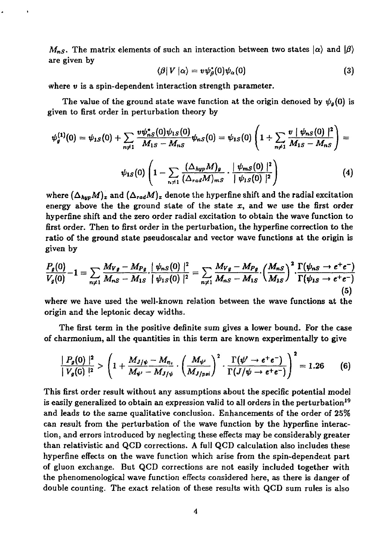$M_{nS}$ . The matrix elements of such an interaction between two states  $|\alpha\rangle$  and  $|\beta\rangle$ are given by

$$
\langle \beta | V | \alpha \rangle = v \psi_{\beta}^*(0) \psi_{\alpha}(0) \tag{3}
$$

where *v* is a spin-dependent interaction strength parameter.

The value of the ground state wave function at the origin denoted by  $\psi_g(0)$  is given to first order in perturbation theory by

$$
\psi_{g}^{(1)}(0) = \psi_{1S}(0) + \sum_{n \neq 1} \frac{v \psi_{nS}^{*}(0) \psi_{1S}(0)}{M_{1S} - M_{nS}} \psi_{nS}(0) = \psi_{1S}(0) \left( 1 + \sum_{n \neq 1} \frac{v \mid \psi_{nS}(0) \mid^{2}}{M_{1S} - M_{nS}} \right) =
$$

$$
\psi_{1S}(0) \left( 1 - \sum_{n \neq 1} \frac{(\Delta_{hyp} M)_{g}}{(\Delta_{rad} M)_{mS}} \cdot \frac{|\psi_{mS}(0)|^{2}}{|\psi_{1S}(0)|^{2}} \right) \tag{4}
$$

where  $(\Delta_{hyp}M)_z$  and  $(\Delta_{rad}M)_x$  denote the hyperfine shift and the radial excitation energy above the the ground state of the state *x,* and we use the first order hyperfine shift and the zero order radial excitation to obtain the wave function to first order. Then to first order in the perturbation, the hyperfine correction to the ratio of the ground state pseudoscalar and vector wave functions at the origin is given by

$$
\frac{P_g(0)}{V_g(0)} - 1 = \sum_{n \neq 1} \frac{M_{Vg} - M_{Pg}}{M_{nS} - M_{1S}} \cdot \frac{|\psi_{nS}(0)|^2}{|\psi_{1S}(0)|^2} = \sum_{n \neq 1} \frac{M_{Vg} - M_{Pg}}{M_{nS} - M_{1S}} \cdot \left(\frac{M_{nS}}{M_{1S}}\right)^2 \cdot \frac{\Gamma(\psi_{nS} \to e^+e^-)}{\Gamma(\psi_{1S} \to e^+e^-)}
$$
(5)

where we have used the well-known relation between the wave functions at the origin and the leptonic decay widths.

The first term in the positive definite sum gives a lower bound. For the case of charmonium, all the quantities in this term are known experimentally to give

$$
\frac{|P_g(0)|^2}{|V_g(0)|^2} > \left(1 + \frac{M_{J/\psi} - M_{\eta_c}}{M_{\psi'} - M_{J/\psi}} \cdot \left(\frac{M_{\psi'}}{M_{J/psi}}\right)^2 \cdot \frac{\Gamma(\psi' \to e^+e^-)}{\Gamma(J/\psi \to e^+e^-)}\right)^2 = 1.26
$$
 (6)

This first order result without any assumptions about the specific potential model is easily generalized to obtain an expression valid to all orders in the perturbation<sup>19</sup> and leads to the same qualitative conclusion. Enhancements of the order of 25% can result from the perturbation of the wave function by the hyperfine interaction, and errors introduced by neglecting these effects may be considerably greater than relativistic and QCD corrections. A full QCD calculation also includes these hyperfine effects on the wave function which arise from the spin-dependent part of gluon exchange. But QCD corrections are not easily included together with the phenomenological wave function effects considered here, as there is danger of double counting. The exact relation of these results with QCD sum rules is also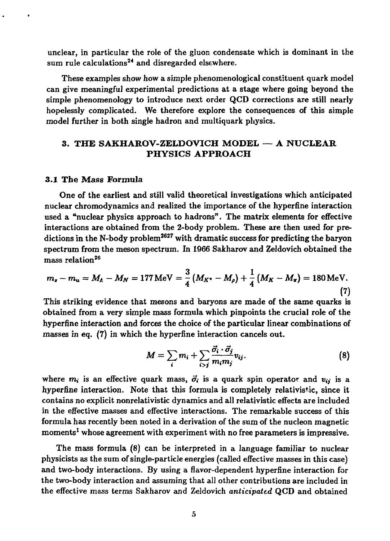unclear, in particular the role of the gluon condensate which is dominant in the sum rule calculations<sup>24</sup> and disregarded elsewhere.

These examples show how a simple phenomenological constituent quark model can give meaningful experimental predictions at a stage where going beyond the simple phenomenology to introduce next order QCD corrections are still nearly hopelessly complicated. We therefore explore the consequences of this simple model further in both single hadron and multiquark physics.

# **3. THE SAKHAROV-ZELDOVICH MODEL — A NUCLEAR PHYSICS APPROACH**

### **3.1 The** Mass **Formula**

One of the earliest and still valid theoretical investigations which anticipated nuclear chromodynamics and realized the importance of the hyperfine interaction used a "nuclear physics approach to hadrons". The matrix elements for effective interactions are obtained from the 2-body problem. These are then used for predictions in the N-body problem<sup>2627</sup> with dramatic success **for** predicting the baryon spectrum from the meson spectrum. In 1966 Sakharov and Zeldovich obtained the mass relation $^{26}$ 

$$
m_s - m_u = M_A - M_N = 177 \,\text{MeV} = \frac{3}{4} \left( M_{K^*} - M_{\rho} \right) + \frac{1}{4} \left( M_K - M_{\pi} \right) = 180 \,\text{MeV}.
$$
\n(7)

\nThis minim is the average and the same area are the same angle.

This striking evidence that mesons and baryons are made of the same quarks is obtained from a very simple mass formula which pinpoints the crucial role of the hyperfine interaction and forces the choice of the particular linear combinations of masses in eq. (7) in which the hyperfine interaction cancels out.

$$
M = \sum_{i} m_i + \sum_{i>j} \frac{\vec{\sigma_i} \cdot \vec{\sigma_j}}{m_i m_j} v_{ij}.
$$
 (8)

where  $m_i$  is an effective quark mass,  $\vec{\sigma}_i$  is a quark spin operator and  $v_{ij}$  is a hyperfine interaction. Note that this formula is completely relativistic, since it contains no explicit nonrelativistic dynamics and all relativistic effects are included in the effective masses and effective interactions. The remarkable success of this formula has recently been noted in a derivation of the sum of the nucleon magnetic moments<sup>1</sup> whose agreement with experiment with no free parameters is impressive.

The mass formula (8) can be interpreted in a language familiar to nuclear physicists as the sum of single-particle energies (called effective masses in this case) and two-body interactions. By using a flavor-dependent hyperfine interaction for the two-body interaction and assuming that all other contributions are included in the effective mass terms Sakharov and Zeldovich *anticipated* QCD and obtained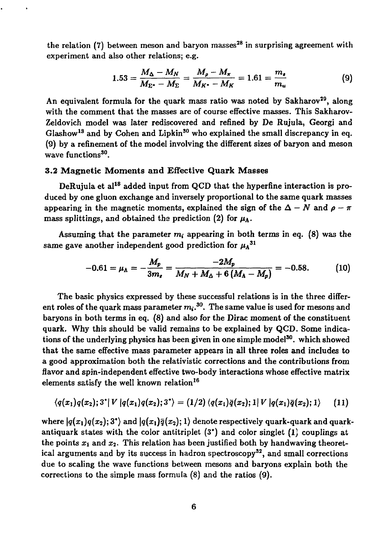the relation (7) between meson and baryon masses $^{\mathbf{28}}$  in surprising agreement with experiment and also other relations; e.g.

$$
1.53 = \frac{M_{\Delta} - M_N}{M_{\Sigma^*} - M_{\Sigma}} = \frac{M_{\rho} - M_{\pi}}{M_{K^*} - M_K} = 1.61 = \frac{m_{\bullet}}{m_{\bullet}}
$$
(9)

An equivalent formula for the quark mass ratio was noted by Sakharov<sup>29</sup>, along with the comment that the masses are of course effective masses. This Sakharov-Zeldovich model was later rediscovered and refined by De Rujula, Georgi and Glashow<sup>13</sup> and by Cohen and Lipkin<sup>30</sup> who explained the small discrepancy in eq. (9) by a refinement of the model involving the different sizes of baryon and meson wave functions<sup>30</sup>.

## 3.2 Magnetic Moments and Effective Quark Masses

DeRujula et al<sup>18</sup> added input from QCD that the hyperfine interaction is produced by one gluon exchange and inversely proportional to the same quark masses appearing in the magnetic moments, explained the sign of the  $\Delta - N$  and  $\rho - \pi$ mass splittings, and obtained the prediction (2) for  $\mu_{\Lambda}$ .

Assuming that the parameter  $m_i$  appearing in both terms in eq. (8) was the same gave another independent good prediction for  $\mu_A^{31}$ 

$$
-0.61 = \mu_{\Lambda} = -\frac{M_p}{3m_s} = \frac{-2M_p}{M_N + M_\Delta + 6\left(M_\Lambda - M_p\right)} = -0.58. \tag{10}
$$

The basic physics expressed by these successful relations is in the three different roles of the quark mass parameter  $m_i.^{\bf 30}.$  The same value is used for mesons and baryons in both terms in eq. (8) and also for the Dirac moment of the constituent quark. Why this should be valid remains to be explained by QCD. Some indications of the underlying physics has been given in one simple model<sup>30</sup>. which showed that the same effective mass parameter appears in all three roles and includes to a good approximation both the relativistic corrections and the contributions from flavor and spin-independent effective two-body interactions whose effective matrix elements satisfy the well known relation<sup>16</sup>

$$
\langle q(x_1)q(x_2); 3^*|V|q(x_1)q(x_2); 3^* \rangle = (1/2) \langle q(x_1)\overline{q}(x_2); 1|V|q(x_1)\overline{q}(x_2); 1 \rangle \qquad (11)
$$

where  $|q(x_1)q(x_2);3"\rangle$  and  $|q(x_1)\bar q(x_2);1\rangle$  denote respectively quark-quark and quarkantiquark states with the color antitriplet  $(3^*)$  and color singlet  $(1)$  couplings at the points  $x_1$  and  $x_2$ . This relation has been justified both by handwaving theoretical arguments and by its success in hadron spectroscopy<sup>32</sup>, and small corrections due to scaling the wave functions between mesons and baryons explain both the corrections to the simple mass formula (8) and the ratios (9).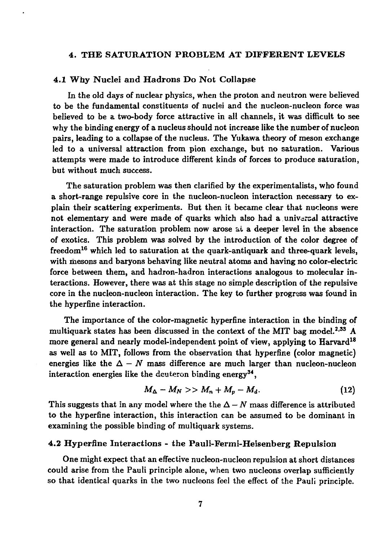## 4. THE SATURATION PROBLEM AT DIFFERENT LEVELS

### 4.1 Why Nuclei and Hadrons Do Not Collapse

In the old days of nuclear physics, when the proton and neutron were believed to be the fundamental constituents of nuclei and the nucleon-nucleon force was believed to be a two-body force attractive in all channels, it was difficult to see why the binding energy of a nucleus should not increase like the number of nucleon pairs, leading to a collapse of the nucleus. The Yukawa theory of meson exchange led to a universal attraction from pion exchange, but no saturation. Various attempts were made to introduce different kinds of forces to produce saturation, but without much success.

The saturation problem was then clarified by the experimentalists, who found a short-range repulsive core in the nucleon-nucleon interaction necessary to explain their scattering experiments. But then it became clear that nucleons were not elementary and were made of quarks which also had a universal attractive interaction. The saturation problem now arose at a deeper level in the absence of exotics. This problem was solved by the introduction of the color degree of freedom<sup>16</sup> which led to saturation at the quark-antiquark and three-quark levels, with mesons and baryons behaving like neutral atoms and having no color-electric force between them, and hadron-hadron interactions analogous to molecular interactions. However, there was at this stage no simple description of the repulsive core in the nucleon-nucleon interaction. The key to further progress was found in the hyperfine interaction.

The importance of the color-magnetic hyperfine interaction in the binding of multiquark states has been discussed in the context of the MIT bag model.<sup>2,33</sup> A more general and nearly model-independent point of view, applying to Harvard<sup>18</sup> as well as to MIT, follows from the observation that hyperfine (color magnetic) energies like the  $\Delta - N$  mass difference are much larger than nucleon-nucleon interaction energies like the deuteron binding energy $^{\mathbf{34}},$ 

$$
M_{\Delta}-M_N>>M_n+M_p-M_d.\hspace{1.5cm} (12)
$$

This suggests that in any model where the the  $\Delta - N$  mass difference is attributed to the hyperfine interaction, this interaction can be assumed to be dominant in examining the possible binding of multiquark systems.

## 4.2 Hyperfine Interactions - the Pauli-Fermi-Heisenberg Repulsion

One might expect that an effective nucleon-nucleon repulsion at short distances could arise from the Pauli principle alone, when two nucleons overlap sufficiently so that identical quarks in the two nucleons feel the effect of the Pauli principle.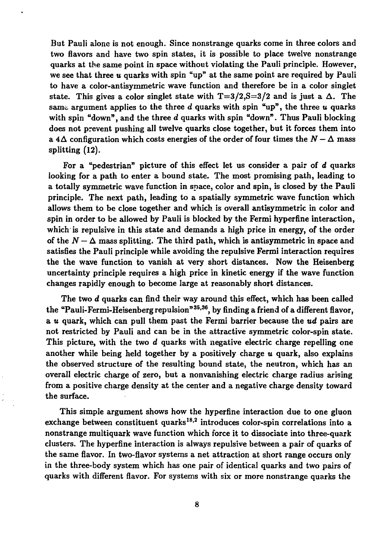But Pauli alone is not enough. Since nonstrange quarks come in three colors and two flavors and have two spin states, it is possible to place twelve nonstrange quarks at the same point in space without violating the Pauli principle. However, we see that three u quarks with spin "up" at the same point are required by Pauli to have a color-antisymmetric wave function and therefore be in a color singlet state. This gives a color singlet state with  $T=3/2$ ,  $S=3/2$  and is just a  $\Delta$ . The same argument applies to the three *d* quarks with spin "up", the three u quarks with spin "down", and the three *d* quarks with spin "down". Thus Pauli blocking does not prevent pushing all twelve quarks close together, but it forces them into a  $4\Delta$  configuration which costs energies of the order of four times the  $N - \Delta$  mass splitting (12).

For a "pedestrian" picture of this effect let us consider a pair of *d* quarks looking for a path to enter a bound state. The most promising path, leading to a totally symmetric wave function in space, color and spin, is closed by the Pauli principle. The next path, leading to a spatially symmetric wave function which allows them to be close together and which is overall antisymmetric in color and spin in order to be allowed by Pauli is blocked by the Fermi hyperfine interaction, which is repulsive in this state and demands a high price in energy, of the order of the  $N - \Delta$  mass splitting. The third path, which is antisymmetric in space and satisfies the Pauli principle while avoiding the repulsive Fermi interaction requires the the wave function to vanish at very short distances. Now the Heisenberg uncertainty principle requires a high price in kinetic energy if the wave function changes rapidly enough to become large at reasonably short distances.

The two *d* quarks can find their way around this effect, which has been called the "Pauli-Fermi-Heisenberg repulsion"<sup>35,36</sup>, by finding a friend of a different flavor, a u quark, which can pull them past the Fermi barrier because the *ud* pairs are not restricted by Pauli and can be in the attractive symmetric color-spin state. This picture, with the two *d* quarks with negative electric charge repelling one another while being held together by a positively charge  $u$  quark, also explains the observed structure of the resulting bound state, the neutron, which has an overall electric charge of zero, but a nonvanishing electric charge radius arising from a positive charge density at the center and a negative charge density toward the surface.

This simple argument shows how the hyperfine interaction due to one gluon exchange between constituent quarks<sup>18,2</sup> introduces color-spin correlations into a nonstrange multiquark wave function which force it to dissociate into three-quark clusters. The hyperfine interaction is always repulsive between a pair of quarks of the same flavor. In two-flavor systems a net attraction at short range occurs only in the three-body system which has one pair of identical quarks and two pairs of quarks with different flavor. For systems with six or more nonstrange quarks the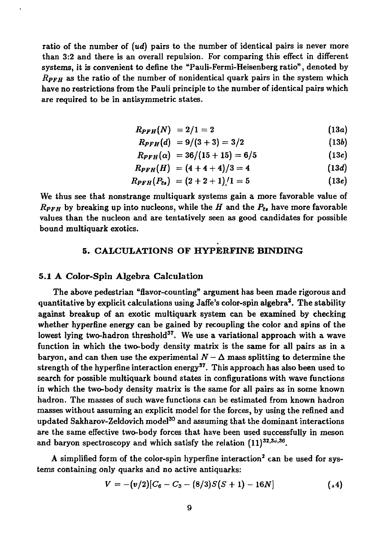ratio of the number of *(ud)* pairs to the number of identical pairs is never more than 3:2 and there is an overall repulsion. For comparing this effect in different systems, it is convenient to define the "Pauli-Fermi-Heisenberg ratio", denoted by *RPFH* as the ratio of the number of nonidentical quark pairs in the system which have no restrictions from the Pauli principle to the number of identical pairs which are required to be in antisymmetric states.

$$
R_{PFH}(N) = 2/1 = 2 \tag{13a}
$$

$$
R_{PFH}(d) = 9/(3+3) = 3/2 \tag{13b}
$$

$$
R_{\text{PFH}}(\alpha) = 36/(15+15) = 6/5 \tag{13c}
$$

$$
R_{PFH}(H) = (4 + 4 + 4)/3 = 4 \qquad (13d)
$$

$$
R_{\text{PFH}}(P_{\overline{c}s}) = (2+2+1)/1 = 5 \qquad (13e)
$$

We thus see that nonstrange multiquark systems gain a more favorable value of  $R_{\text{PFH}}$  by breaking up into nucleons, while the H and the  $P_{\text{z}}$ , have more favorable values than the nucleon and are tentatively seen as good candidates for possible bound multiquark exotics.

# **5. CALCULATIONS OF HYPERFINE BINDING**

### 5.1 **A Color-Spin** Algebra Calculation

The above pedestrian "flavor-counting" argument has been made rigorous and quantitative by explicit calculations using Jaffe's color-spin algebra<sup>2</sup>. The stability against breakup of an exotic multiquark system can be examined by checking whether hyperfine energy can be gained by recoupling the color and spins of the lowest lying two-hadron threshold<sup>37</sup>. We use a variational approach with a wave function in which the two-body density matrix is the same for all pairs as in a baryon, and can then use the experimental  $\mathcal{N} - \Delta$  mass splitting to determine the strength of the hyperfine interaction energy<sup>37</sup>. This approach has also been used to search for possible multiquark bound states in configurations with wave functions in which the two-body density matrix is the same for all pairs as in some known hadron. The masses of such wave functions can be estimated from known hadron masses without assuming an explicit model for the forces, by using the refined and updated Sakharov-Zeldovich model<sup>30</sup> and assuming that the dominant interactions are the same effective two-body forces that have been used successfully in meson and baryon spectroscopy and which satisfy the relation  $(11)^{32,35,36}$ .

A simplified form of the color-spin hyperfine interaction<sup>2</sup> can be used for systems containing only quarks and no active antiquarks:

$$
V = -(v/2)[C_6 - C_3 - (8/3)S(S + 1) - 16N] \qquad (14)
$$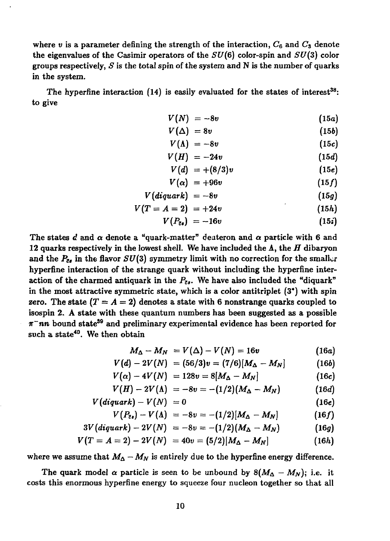where  $v$  is a parameter defining the strength of the interaction,  $C_6$  and  $C_3$  denote the eigenvalues of the Casimir operators of the *SU(6)* color-spin and *SU(3)* color groups respectively, *S* is the total spin of the system and N is the number of quarks in the system.

The hyperfine interaction  $(14)$  is easily evaluated for the states of interest<sup>38</sup>: to give

$$
V(N) = -8v \tag{15a}
$$

$$
V(\Delta) = 8v \tag{15b}
$$

$$
V(\Lambda) = -8v \tag{15c}
$$

$$
V(H) = -24v \tag{15d}
$$

$$
V(d) = +(8/3)v \qquad (15e)
$$

$$
V(\alpha) = +96v \tag{15f}
$$

$$
V(diquark) = -8v \qquad (15g)
$$

$$
V(T = A = 2) = +24v \tag{15h}
$$

$$
V(P_{\bar{c}s}) = -16v \qquad (15\dot{s})
$$

The states  $d$  and  $\alpha$  denote a "quark-matter" deateron and  $\alpha$  particle with 6 and 12 quarks respectively in the lowest shell. We have included the A, the *H* dibaryon and the  $P_{\bar{c}e}$  in the flavor  $SU(3)$  symmetry limit with no correction for the smaller hyperfine interaction of the strange quark without including the hyperfine interaction of the charmed antiquark in the  $P_{\bar{\epsilon} s}$ . We have also included the "diquark" in the most attractive symmetric state, which is a color antitriplet (3\*) with spin zero. The state  $(T = A = 2)$  denotes a state with 6 nonstrange quarks coupled to isospin 2. A state with these quantum numbers has been suggested as a possible  $\pi$ <sup>-</sup>nn bound state<sup>39</sup> and preliminary experimental evidence has been reported for such a state<sup>40</sup>. We then obtain

$$
M_{\Delta}-M_{N}=V(\Delta)-V(N)=16v \qquad (16a)
$$

$$
V(d) - 2V(N) = (56/3)v = (7/6)[M_{\Delta} - M_N]
$$
 (16b)

$$
V(\alpha) - 4V(N) = 128v = 8[M_{\Delta} - M_N]
$$
 (16c)

$$
V(H) - 2V(\Lambda) = -8v = -(1/2)(M_{\Delta} - M_N)
$$
 (16d)

$$
V(diquark)-V(N) = 0 \qquad (16e)
$$

$$
V(P_{\epsilon s}) - V(\Lambda) = -8v = -(1/2)[M_{\Delta} - M_N]
$$
 (16f)

$$
3V(diquark) - 2V(N) = -8v = -(1/2)(M_{\Delta} - M_N)
$$
 (16g)

$$
V(T = A = 2) - 2V(N) = 40v = (5/2)[M_{\Delta} - M_N]
$$
 (16h)

where we assume that  $M_{\Delta} - M_N$  is entirely due to the hyperfine energy difference.

The quark model  $\alpha$  particle is seen to be unbound by  $8(M_{\Delta}-M_N)$ ; i.e. it costs this enormous hyperfine energy to squeeze four nucleon together so that all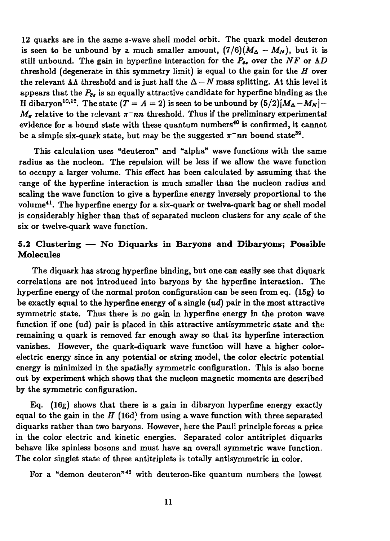12 quarks are in the same s-wave shell model orbit. The quark model deuteron is seen to be unbound by a much smaller amount,  $(7/6)(M_{\Delta} - M_N)$ , but it is still unbound. The gain in hyperfine interaction for the  $P_{\bar{c}}$  over the NF or  $\Lambda D$ threshold (degenerate in this symmetry limit) is equal to the gain for the *H* over the relevant  $\Lambda\Lambda$  threshold and is just half the  $\Delta - N$  mass splitting. At this level it appears that the  $P_{\epsilon}$  is an equally attractive candidate for hyperfine binding as the H dibaryon<sup>10,12</sup>. The state  $(T = A = 2)$  is seen to be unbound by  $(5/2)[M_\Delta - M_N] M_{\tau}$  relative to the relevant  $\pi^{-}nn$  threshold. Thus if the preliminary experimental evidence for a bound state with these quantum numbers<sup>40</sup> is confirmed, it cannot be a simple six-quark state, but may be the suggested  $\pi^-$ nn bound state<sup>39</sup>.

This calculation uses "deuteron" and "alpha" wave functions with the same radius as the nucleon. The repulsion will be less if we allow the wave function to occupy a larger volume. This effect has been calculated by assuming that the range of the hyperfine interaction is much smaller than the nucleon radius and scaling the wave function to give a hyperfine energy inversely proportional to the volume<sup>41</sup>. The hyperfine energy for a six-quark or twelve-quark bag or shell model is considerably higher than that of separated nucleon clusters for any scale of the six or twelve-quark wave function.

# 5.2 Clustering — No Diquarks in **Baryons and** Dibaryons; Possible **Molecules**

The diquark has strong hyperfine binding, but one can easily see that diquark correlations are not introduced into baryons by the hyperfine interaction. The hyperfine energy of the normal proton configuration can be seen from eq. (15g) to be exactly equal to the hyperfine energy of a single  $(ud)$  pair in the most attractive symmetric state. Thus there is no gain in hyperfine energy in the proton wave function if one (ud) pair is placed in this attractive antisymmetric state and the remaining u quark is removed far enough away so that its hyperfine interaction vanishes. However, the quark-diquark wave function will have a higher colorelectric energy since in any potential or string model, the color electric potential energy is minimized in the spatially symmetric configuration. This is also borne out by experiment which shows that the nucleon magnetic moments are described by the symmetric configuration.

Eq.  $(16g)$  shows that there is a gain in dibaryon hyperfine energy exactly equal to the gain in the *H* (16d) from using a wave function with three separated diquarks rather than two baryons. However, here the Pauli principle forces a price in the color electric and kinetic energies. Separated color antitriplet diquarks behave like spinless bosons and must have an overall symmetric wave function. The color singlet state of three antitriplets is totally antisymmetric in color.

For a "demon deuteron"<sup>42</sup> with deuteron-like quantum numbers the lowest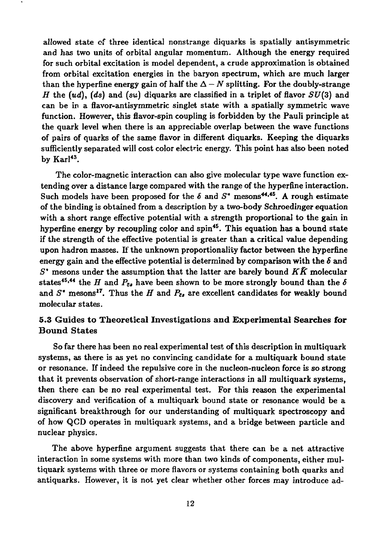allowed state of three identical nonstrange diquarks is spatially antisymmetric and has two units of orbital angular momentum. Although the energy required for such orbital excitation is model dependent, a crude approximation is obtained from orbital excitation energies in the baryon spectrum, which are much larger than the hyperfine energy gain of half the  $\Delta - N$  splitting. For the doubly-strange *H* the  $(ud)$ ,  $(ds)$  and  $(su)$  diquarks are classified in a triplet of flavor  $SU(3)$  and can be in a flavor-antisymmetric singlet state with a spatially symmetric wave function. However, this flavor-spin coupling is forbidden by the Pauli principle at the quark level when there is an appreciable overlap between the wave functions of pairs of quarks of the same flavor in different diquarks. Keeping the diquarks sufficiently separated will cost color electric energy. This point has also been noted by  $\text{Kar}^{143}$ .

The color-magnetic interaction can also give molecular type wave function extending over a distance large compared with the range of the hyperfine interaction. Such models have been proposed for the  $\delta$  and  $S^*$  mesons<sup>44,45</sup>. A rough estimate of the binding is obtained from a description by a two-body Schroedinger equation with a short range effective potential with a strength proportional to the gain in hyperfine energy by recoupling color and spin<sup>45</sup>. This equation has a bound state if the strength of the effective potential is greater than a critical value depending upon hadron masses. If the unknown proportionality factor between the hyperfine energy gain and the effective potential is determined by comparison with the  $\delta$  and *S\** mesons under the assumption that the latter are barely bound *KK* molecular states<sup>45,44</sup> the *H* and  $P_{\bar{c}}$ , have been shown to be more strongly bound than the  $\delta$ and  $S^*$  mesons<sup>17</sup>. Thus the *H* and  $P_{z}$ , are excellent candidates for weakly bound molecular states.

# 5.3 Guides to Theoretical Investigations and **Experimental Searches for Bound** States

So far there has been no real experimental test of this description in multiquark systems, as there is as yet no convincing candidate for a multiquark bound state or resonance. If indeed the repulsive core in the nucleon-nucleon force is *so* strong that it prevents observation of short-range interactions in all multiquark systems, then there can be no real experimental test. For this reason the experimental discovery and verification of a multiquark bound state or resonance would be a significant breakthrough for our understanding of multiquark spectroscopy and of how QCD operates in multiquark systems, and a bridge between particle and nuclear physics.

The above hyperfine argument suggests that there can be a net attractive interaction in some systems with more than two kinds of components, either multiquark systems with three or more flavors or systems containing both quarks and antiquarks. However, it is not yet clear whether other forces may introduce ad-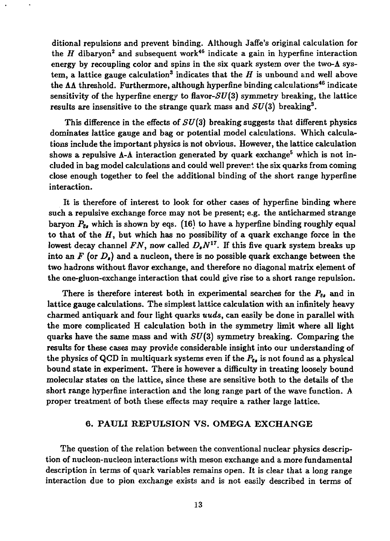ditional repulsions and prevent binding. Although Jaffe's original calculation for the *H* dibaryon<sup>2</sup> and subsequent work<sup>46</sup> indicate a gain in hyperfine interaction energy by recoupling color and spins in the six quark system over the two- $\Lambda$  system, a lattice gauge calculation<sup>3</sup> indicates that the  $H$  is unbound and well above the  $\Lambda\Lambda$  threshold. Furthermore, although hyperfine binding calculations<sup>46</sup> indicate sensitivity of the hyperfine energy to flavor- $SU(3)$  symmetry breaking, the lattice results are insensitive to the strange quark mass and *SU(S)* breaking<sup>3</sup> .

This difference in the effects of *SU(3)* breaking suggests that different physics dominates lattice gauge and bag or potential model calculations. Which calculations include the important physics is not obvious. However, the lattice calculation shows a repulsive  $\Lambda$ - $\Lambda$  interaction generated by quark exchange<sup>5</sup> which is not included in bag model calculations and could well prevent the six quarks from coming close enough together to feel the additional binding of the short range hyperfine interaction.

It is therefore of interest to look for other cases of hyperfine binding where such a repulsive exchange force may not be present; e.g. the anticharmed strange baryon  $P_{z}$ , which is shown by eqs. (16) to have a hyperfine binding roughly equal to that of the *H,* but which has no possibility of a quark exchange force in the lowest decay channel *FN,* now called *D,N<sup>17</sup> .* If this five quark system breaks up into an  $F$  (or  $D_{\ell}$ ) and a nucleon, there is no possible quark exchange between the two hadrons without flavor exchange, and therefore no diagonal matrix element of the one-gluon-exchange interaction that could give rise to a short range repulsion.

There is therefore interest both in experimental searches for the  $P_{\bar{e}}$ , and in lattice gauge calculations. The simplest lattice calculation with an infinitely heavy charmed antiquark and four light quarks *uuds,* can easily be done in parallel with the more complicated H calculation both in the symmetry limit where all light quarks have the same mass and with *SU(3)* symmetry breaking. Comparing the results for these cases may provide considerable insight into our understanding of the physics of QCD in multiquark systems even if the  $P_{\bar{\epsilon}\epsilon}$  is not found as a physical bound state in experiment. There is however a difficulty in treating loosely bound molecular states on the lattice, since these are sensitive both to the details of the short range hyperfine interaction and the long range part of the wave function. A proper treatment of both these effects may require a rather large lattice.

#### 6. PAULI REPULSION VS. OMEGA EXCHANGE

The question of the relation between the conventional nuclear physics description of nucleon-nucleon interactions with meson exchange and a more fundamental description in terms of quark variables remains open. It is clear that a long range interaction due to pion exchange exists and is not easily described in terms of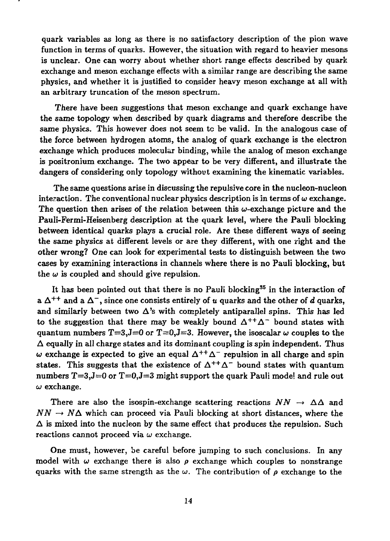quark variables as long as there is no satisfactory description of the pion wave function in terms of quarks. However, the situation with regard to heavier mesons is unclear. One can worry about whether short range effects described by quark exchange and meson exchange effects with a similar range are describing the same physics, and whether it is justified to consider heavy meson exchange at all with an arbitrary truncation of the meson spectrum.

There have been suggestions that meson exchange and quark exchange have the same topology when described by quark diagrams and therefore describe the same physics. This however does not seem to be valid. In the analogous case of the force between hydrogen atoms, the analog of quark exchange is the electron exchange which produces molecular binding, while the analog of meson exchange is positronium exchange. The two appear to be very different, and illustrate the dangers of considering only topology without examining the kinematic variables.

The same questions arise in discussing the repulsive core in the nucleon-nucleon interaction. The conventional nuclear physics description is in terms of  $\omega$  exchange. The question then arises of the relation between this  $\omega$ -exchange picture and the Pauli-Fermi-Heisenberg description at the quark level, where the Pauli blocking between identical quarks plays a crucial role. Are these different ways of seeing the same physics at different levels or are they different, with one right and the other wrong? One can look for experimental tests to distinguish between the two cases by examining interactions in channels where there is no Pauli blocking, but the  $\omega$  is coupled and should give repulsion.

It has been pointed out that there is no Pauli blocking<sup>35</sup> in the interaction of a  $\Delta^{++}$  and a  $\Delta^{-}$ , since one consists entirely of  $\pmb{u}$  quarks and the other of  $\pmb{d}$  quarks, and similarly between two  $\Delta$ 's with completely antiparallel spins. This has led to the suggestion that there may be weakly bound  $\Delta^{++}\Delta^-$  bound states with quantum numbers  $T=3$ ,  $J=0$  or  $T=0$ ,  $J=3$ . However, the isoscalar  $\omega$  couples to the  $\Delta$  equally in all charge states and its dominant coupling is spin independent. Thus w exchange is expected to give an equal  $\Delta^{++}\Delta^-$  repulsion in all charge and spin states. This suggests that the existence of  $\Delta^{++}\Delta^-$  bound states with quantum numbers  $T=3, J=0$  or  $T=0, J=3$  might support the quark Pauli model and rule out *a>* exchange.

There are also the isospin-exchange scattering reactions  $NN \rightarrow \Delta\Delta$  and  $NN \rightarrow N\Delta$  which can proceed via Pauli blocking at short distances, where the  $\Delta$  is mixed into the nucleon by the same effect that produces the repulsion. Such reactions cannot proceed via *w* exchange.

One must, however, be careful before jumping to such conclusions. In any model with  $\omega$  exchange there is also  $\rho$  exchange which couples to nonstrange quarks with the same strength as the  $\omega$ . The contribution of  $\rho$  exchange to the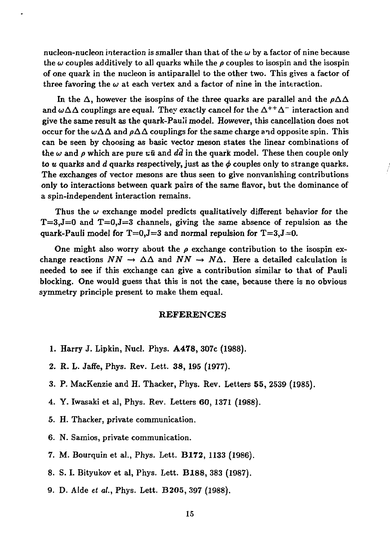nucleon-nucleon interaction is smaller than that of the  $\omega$  by a factor of nine because the  $\omega$  couples additively to all quarks while the  $\rho$  couples to isospin and the isospin of one quark in the nucleon is antiparallel to the other two. This gives a factor of three favoring the  $\omega$  at each vertex and a factor of nine in the interaction.

In the  $\Delta$ , however the isospins of the three quarks are parallel and the  $\rho\Delta\Delta$ and  $\omega\Delta\Delta$  couplings are equal. They exactly cancel for the  $\Delta^{++}\Delta^-$  interaction and give the same result as the quark-Pauli model. However, this cancellation does not occur for the  $\omega\Delta\Delta$  and  $\rho\Delta\Delta$  couplings for the same charge and opposite spin. This can be seen by choosing as basic vector meson states the linear combinations of the  $\omega$  and  $\rho$  which are pure  $x\bar{u}$  and dd in the quark model. These then couple only to *u* quarks and *d* quarks respectively, just as the  $\phi$  couples only to strange quarks. The exchanges of vector mesons are thus seen to give nonvanishing contributions only to interactions between quark pairs of the same flavor, but the dominance of a spin-independent interaction remains.

Thus the  $\omega$  exchange model predicts qualitatively different behavior for the  $T=3$ , J=0 and  $T=0$ , J=3 channels, giving the same absence of repulsion as the quark-Pauli model for  $T=0, J=3$  and normal repulsion for  $T=3, J=0$ .

One might also worry about the  $\rho$  exchange contribution to the isospin exchange reactions  $NN \rightarrow \Delta\Delta$  and  $NN \rightarrow N\Delta$ . Here a detailed calculation is needed to see if this exchange can give a contribution similar to that of Pauli blocking. One would guess that this is not the case, because there is no obvious symmetry principle present to make them equal.

### REFERENCES

- 1. Harry J. Lipkin, Nucl. Phys. **A478,** 307c (1988).
- 2. R. L. Jaffe, Phys. Rev. Lett. 38, 195 (1977).
- 3. P. MacKenzie and H. Thacker, Phys. Rev. Letters 55, 2539 (1985).
- 4. Y. Iwasaki et al, Phys. Rev. Letters 60, 1371 (1988).
- 5. H. Thacker, private communication.
- 6. N. Samios, private communication.
- 7. M. Bourquin et al., Phys. Lett. **B172,** 1133 (1986).
- 8. S. I. Bityukov et al, Phys. Lett. **B188,** 383 (1987).
- 9. D. Aide *et al.,* Phys. Lett. B205, 397 (1988).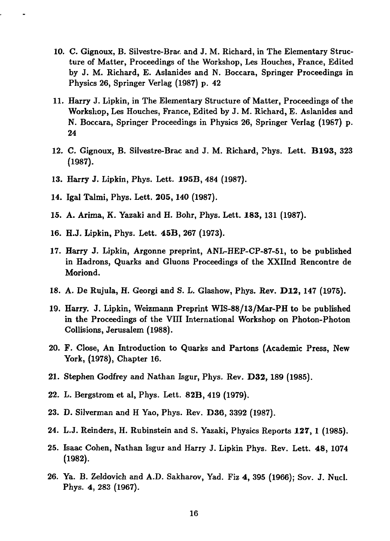- 10. C. Gignoux, B. Silvestre-Brac. and J. M. Richard, in The Elementary Structure of Matter, Proceedings of the Workshop, Les Houches, France, Edited by J. M. Richard, E. Aslanides and N. Boccara, Springer Proceedings in Physics 26, Springer Verlag (1987) p. 42
- 11. Harry J. Lipkin, in The Elementary Structure of Matter, Proceedings of the Workshop, Les Houches, France, Edited by J. M. Richard, E. Aslanides and N. Boccara, Springer Proceedings in Physics 26, Springer Verlag (1987) p. 24
- 12. C. Gignoux, B. Silvestre-Brac and J. M. Richard, Phys. Lett. **B193,** 323 (1987).
- 13. Harry J. Lipkin, Phys. Lett. **195B,** 484 (1987).
- 14. Igal Talmi, Phys. Lett. **205,** 140 (1987).
- 15. A. Arima, K. Yazaki and H. Bohr, Phys. Lett. **183,** 131 (1987).
- 16. H.J. Lipkin, Phys. Lett. 45B, 267 (1973).
- 17. Harry J. Lipkin, Argonne preprint, ANL-HEP-CP-87-51, to be published in Hadrons, Quarks and Gluons Proceedings of the XXIInd Rencontre de Moriond.
- 18. A. De Rujula, H. Georgi and S. L. Glashow, Phys. Rev. **D12,** 147 (1975).
- 19. Harry. J. Lipkin, Weizmann Preprint WIS-88/13/Mar-PH to be published in the Proceedings of the VIII International Workshop on Photon-Photon Collisions, Jerusalem (1988).
- 20. F. Close, An Introduction to Quarks and Partons (Academic Press, New York, (1978), Chapter 16.
- 21. Stephen Godfrey and Nathan Isgur, Phys. Rev. **D32,** 189 (1985).
- 22. L. Bergstrom et al, Phys. Lett. 82B, 419 (1979).
- 23. D. Silverman and H Yao, Phys. Rev. **D36,** 3392 (1987).
- 24. L.J. Reinders, H. Rubinstein and S. Yazaki, Physics Reports **127,** 1 (1985).
- 25. Isaac Cohen, Nathan Isgur and Harry J. Lipkin Phys. Rev. Lett. 48, 1074 (1982).
- 26. Ya. B. Zeldovich and A.D. Sakharov, Yad. Fiz 4, 395 (1966); Sov. J. Nucl. Phys. 4, 283 (1967).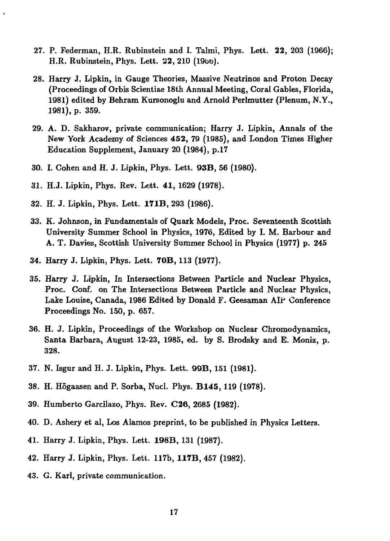- 27. P. Federman, H.R. Rubinstein and I. Talmi, Phys. Lett. **22,** 203 (1966); H.R. Rubinstein, Phys. Lett. 22, 210 (1966).
- 28. Harry J. Lipkin, in Gauge Theories, Massive Neutrinos and Proton Decay (Proceedings of Orbis Scientiae 18th Annual Meeting, Coral Gables, Florida, 1981) edited by Behram Kursonoglu and Arnold Perlmutter (Plenum, N.Y., 1981), p. 359.
- 29. A. D. Sakharov, private communication; Harry J. Lipkin, Annals of the New York Academy of Sciences **452,** 79 (1985), and London Times Higher Education Supplement, January 20 (1984), p.17
- 30. I. Cohen and H. J. Lipkin, Phys. Lett. 93B, 56 (1980).
- 31. H.J. Lipkin, Phys. Rev. Lett. **41,** 1629 (1978).
- 32. H. J. Lipkin, Phys. Lett. **171B,** 293 (1986).
- 33. K. Johnson, in Fundamentals of Quark Models, Proc. Seventeenth Scottish University Summer School in Physics, 1976, Edited by I. M. Barbour and A. T. Davies, Scottish University Summer School in Physics (1977) p. 245
- 34. Harry J. Lipkin, Phys. Lett. **70B,** 113 (1977).
- 35. Harry J. Lipkin, In Intersections Between Particle and Nuclear Physics, Proc. Conf. on The Intersections Between Particle and Nuclear Physics, Lake Louise, Canada, 1986 Edited by Donald F. Geesaman AIP Conference Proceedings No. 150, p. 657.
- 36. H. J. Lipkin, Proceedings of the Workshop on Nuclear Chromodynamics, Santa Barbara, August 12-23, 1985, ed. by S. Brodsky and E. Moniz, p. 328.
- 37. N. Isgur and H. J. Lipkin, Phys. Lett. 99B, 151 (1981).
- 38. H. Hogaasen and P. Sorba, Nucl. Phys. **B145,** 119 (1978).
- 39. Humberto Garcilazo, Phys. Rev. C26, 2685 (1982).
- 40. D. Ashery et al, Los Alamos preprint, to be published in Physics Letters.
- 41. Harry J. Lipkin, Phys. Lett. 198B, 131 (1987).
- 42. Harry J. Lipkin, Phys. Lett. 117b, **117B,** 457 (1982).
- 43. G. Karl, private communication.